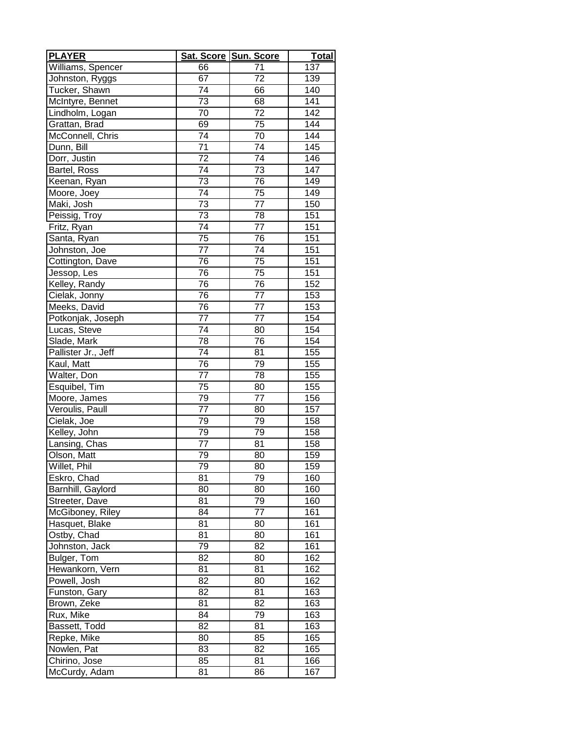| <b>PLAYER</b>       | Sat. Score Sun. Score |                 | <b>Total</b>      |
|---------------------|-----------------------|-----------------|-------------------|
| Williams, Spencer   | 66                    | 71              | 137               |
| Johnston, Ryggs     | 67                    | 72              | 139               |
| Tucker, Shawn       | 74                    | 66              | 140               |
| McIntyre, Bennet    | 73                    | 68              | 141               |
| Lindholm, Logan     | 70                    | 72              | $\overline{142}$  |
| Grattan, Brad       | 69                    | 75              | 144               |
| McConnell, Chris    | 74                    | 70              | 144               |
| Dunn, Bill          | $\overline{71}$       | $\overline{74}$ | 145               |
| Dorr, Justin        | 72                    | 74              | 146               |
| Bartel, Ross        | $\overline{74}$       | 73              | 147               |
| Keenan, Ryan        | 73                    | 76              | 149               |
| Moore, Joey         | 74                    | 75              | $\overline{1}$ 49 |
| Maki, Josh          | 73                    | 77              | 150               |
| Peissig, Troy       | 73                    | 78              | 151               |
| Fritz, Ryan         | $\overline{74}$       | 77              | 151               |
| Santa, Ryan         | $\overline{7}5$       | 76              | 151               |
| Johnston, Joe       | 77                    | 74              | 151               |
| Cottington, Dave    | 76                    | 75              | 151               |
| Jessop, Les         | 76                    | 75              | 151               |
| Kelley, Randy       | 76                    | 76              | 152               |
| Cielak, Jonny       | 76                    | 77              | 153               |
| Meeks, David        | 76                    | $\overline{77}$ | 153               |
| Potkonjak, Joseph   | 77                    | 77              | 154               |
| Lucas, Steve        | 74                    | 80              | 154               |
| Slade, Mark         | 78                    | 76              | 154               |
| Pallister Jr., Jeff | 74                    | 81              | 155               |
| Kaul, Matt          | 76                    | 79              | 155               |
| Walter, Don         | 77                    | 78              | 155               |
| Esquibel, Tim       | 75                    | 80              | 155               |
| Moore, James        | 79                    | 77              | 156               |
| Veroulis, Paull     | 77                    | 80              | 157               |
| Cielak, Joe         | 79                    | 79              | 158               |
| Kelley, John        | 79                    | 79              | 158               |
| Lansing, Chas       | 77                    | 81              | 158               |
| Olson, Matt         | 79                    | 80              | 159               |
| Willet, Phil        | 79                    | 80              | 159               |
| Eskro, Chad         | 81                    | 79              | 160               |
| Barnhill, Gaylord   | 80                    | 80              | 160               |
| Streeter, Dave      | 81                    | 79              | 160               |
| McGiboney, Riley    | 84                    | $7\overline{7}$ | 161               |
| Hasquet, Blake      | 81                    | 80              | 161               |
| Ostby, Chad         | 81                    | 80              | 161               |
| Johnston, Jack      | 79                    | 82              | 161               |
| Bulger, Tom         | 82                    | 80              | $\frac{1}{162}$   |
| Hewankorn, Vern     | 81                    | 81              | 162               |
| Powell, Josh        | 82                    | 80              | 162               |
| Funston, Gary       | 82                    | 81              | 163               |
| Brown, Zeke         | 81                    | 82              | 163               |
| Rux, Mike           | 84                    | 79              | 163               |
| Bassett, Todd       | 82                    | 81              | 163               |
| Repke, Mike         | 80                    | 85              | 165               |
| Nowlen, Pat         | 83                    | 82              | 165               |
| Chirino, Jose       | 85                    | 81              | 166               |
| McCurdy, Adam       | 81                    | 86              | 167               |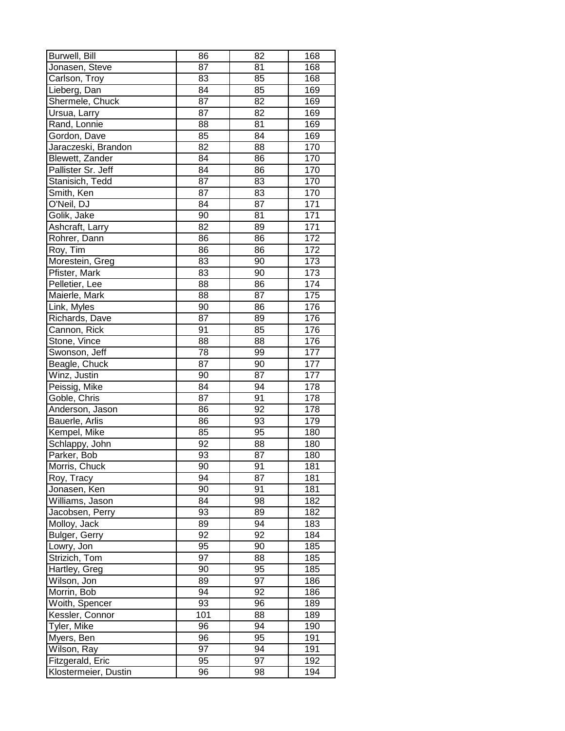| Burwell, Bill        | 86  | 82 | 168 |
|----------------------|-----|----|-----|
| Jonasen, Steve       | 87  | 81 | 168 |
| Carlson, Troy        | 83  | 85 | 168 |
| Lieberg, Dan         | 84  | 85 | 169 |
| Shermele, Chuck      | 87  | 82 | 169 |
| Ursua, Larry         | 87  | 82 | 169 |
| Rand, Lonnie         | 88  | 81 | 169 |
| Gordon, Dave         | 85  | 84 | 169 |
| Jaraczeski, Brandon  | 82  | 88 | 170 |
| Blewett, Zander      | 84  | 86 | 170 |
| Pallister Sr. Jeff   | 84  | 86 | 170 |
| Stanisich, Tedd      | 87  | 83 | 170 |
| Smith, Ken           | 87  | 83 | 170 |
| O'Neil, DJ           | 84  | 87 | 171 |
| Golik, Jake          | 90  | 81 | 171 |
| Ashcraft, Larry      | 82  | 89 | 171 |
| Rohrer, Dann         | 86  | 86 | 172 |
|                      | 86  | 86 | 172 |
| Roy, Tim             |     |    |     |
| Morestein, Greg      | 83  | 90 | 173 |
| Pfister, Mark        | 83  | 90 | 173 |
| Pelletier, Lee       | 88  | 86 | 174 |
| Maierle, Mark        | 88  | 87 | 175 |
| Link, Myles          | 90  | 86 | 176 |
| Richards, Dave       | 87  | 89 | 176 |
| Cannon, Rick         | 91  | 85 | 176 |
| Stone, Vince         | 88  | 88 | 176 |
| Swonson, Jeff        | 78  | 99 | 177 |
| Beagle, Chuck        | 87  | 90 | 177 |
| Winz, Justin         | 90  | 87 | 177 |
| Peissig, Mike        | 84  | 94 | 178 |
| Goble, Chris         | 87  | 91 | 178 |
| Anderson, Jason      | 86  | 92 | 178 |
| Bauerle, Arlis       | 86  | 93 | 179 |
| Kempel, Mike         | 85  | 95 | 180 |
| Schlappy, John       | 92  | 88 | 180 |
| Parker, Bob          | 93  | 87 | 180 |
| Morris, Chuck        | 90  | 91 | 181 |
| Roy, Tracy           | 94  | 87 | 181 |
| Jonasen, Ken         | 90  | 91 | 181 |
| Williams, Jason      | 84  | 98 | 182 |
| Jacobsen, Perry      | 93  | 89 | 182 |
| Molloy, Jack         | 89  | 94 | 183 |
| Bulger, Gerry        | 92  | 92 | 184 |
| Lowry, Jon           | 95  | 90 | 185 |
| Strizich, Tom        | 97  | 88 | 185 |
| Hartley, Greg        | 90  | 95 | 185 |
| Wilson, Jon          | 89  | 97 | 186 |
| Morrin, Bob          | 94  | 92 | 186 |
| Woith, Spencer       | 93  | 96 | 189 |
| Kessler, Connor      | 101 | 88 | 189 |
| Tyler, Mike          | 96  | 94 | 190 |
| Myers, Ben           | 96  | 95 | 191 |
| Wilson, Ray          | 97  | 94 | 191 |
| Fitzgerald, Eric     | 95  | 97 | 192 |
| Klostermeier, Dustin | 96  | 98 | 194 |
|                      |     |    |     |